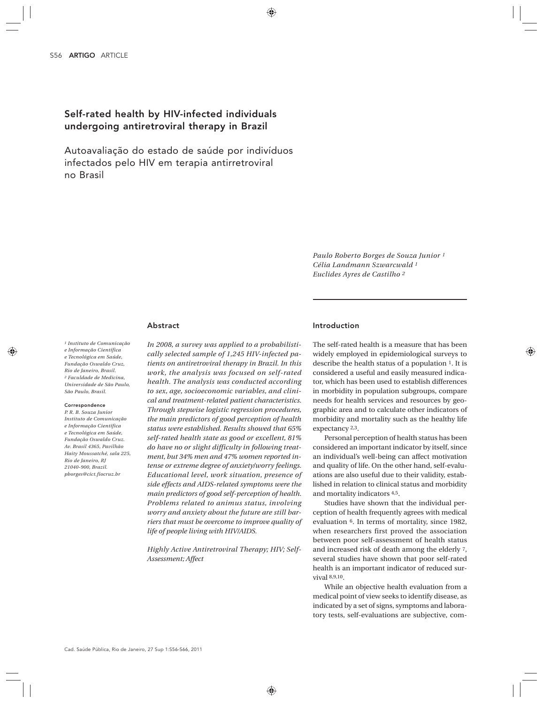# Self-rated health by HIV-infected individuals undergoing antiretroviral therapy in Brazil

Autoavaliação do estado de saúde por indivíduos infectados pelo HIV em terapia antirretroviral no Brasil

> *Paulo Roberto Borges de Souza Junior 1 Célia Landmann Szwarcwald 1 Euclides Ayres de Castilho 2*

## Abstract

*1 Instituto de Comunicação e Informação Científica e Tecnológica em Saúde, Fundação Oswaldo Cruz, Rio de Janeiro, Brasil. 2 Faculdade de Medicina, Universidade de São Paulo, São Paulo, Brasil.*

#### Correspondence *P. R. B. Souza Junior*

*Instituto de Comunicação e Informação Científica e Tecnológica em Saúde, Fundação Oswaldo Cruz. Av. Brasil 4365, Pavilhão Haity Moussatché, sala 225, Rio de Janeiro, RJ 21040-900, Brazil. pborges@cict.fiocruz.br*

*In 2008, a survey was applied to a probabilistically selected sample of 1,245 HIV-infected patients on antiretroviral therapy in Brazil. In this work, the analysis was focused on self-rated health. The analysis was conducted according to sex, age, socioeconomic variables, and clinical and treatment-related patient characteristics. Through stepwise logistic regression procedures, the main predictors of good perception of health status were established. Results showed that 65% self-rated health state as good or excellent, 81% do have no or slight difficulty in following treatment, but 34% men and 47% women reported intense or extreme degree of anxiety/worry feelings. Educational level, work situation, presence of side effects and AIDS-related symptoms were the main predictors of good self-perception of health. Problems related to animus status, involving worry and anxiety about the future are still barriers that must be overcome to improve quality of life of people living with HIV/AIDS.* 

*Highly Active Antiretroviral Therapy; HIV; Self-Assessment; Affect*

# Introduction

The self-rated health is a measure that has been widely employed in epidemiological surveys to describe the health status of a population 1. It is considered a useful and easily measured indicator, which has been used to establish differences in morbidity in population subgroups, compare needs for health services and resources by geographic area and to calculate other indicators of morbidity and mortality such as the healthy life expectancy 2,3.

Personal perception of health status has been considered an important indicator by itself, since an individual's well-being can affect motivation and quality of life. On the other hand, self-evaluations are also useful due to their validity, established in relation to clinical status and morbidity and mortality indicators 4,5.

Studies have shown that the individual perception of health frequently agrees with medical evaluation 6. In terms of mortality, since 1982, when researchers first proved the association between poor self-assessment of health status and increased risk of death among the elderly 7, several studies have shown that poor self-rated health is an important indicator of reduced survival 8,9,10.

While an objective health evaluation from a medical point of view seeks to identify disease, as indicated by a set of signs, symptoms and laboratory tests, self-evaluations are subjective, com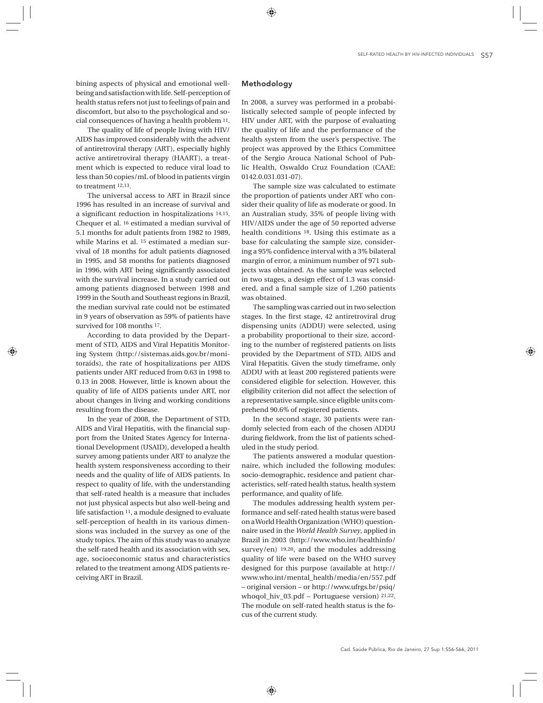bining aspects of physical and emotional wellbeing and satisfaction with life. Self-perception of health status refers not just to feelings of pain and discomfort, but also to the psychological and social consequences of having a health problem 11.

The quality of life of people living with HIV/ AIDS has improved considerably with the advent of antiretroviral therapy (ART), especially highly active antiretroviral therapy (HAART), a treatment which is expected to reduce viral load to less than 50 copies/mL of blood in patients virgin to treatment 12,13.

The universal access to ART in Brazil since 1996 has resulted in an increase of survival and a significant reduction in hospitalizations 14,15. Chequer et al. 16 estimated a median survival of 5.1 months for adult patients from 1982 to 1989, while Marins et al. 15 estimated a median survival of 18 months for adult patients diagnosed in 1995, and 58 months for patients diagnosed in 1996, with ART being significantly associated with the survival increase. In a study carried out among patients diagnosed between 1998 and 1999 in the South and Southeast regions in Brazil, the median survival rate could not be estimated in 9 years of observation as 59% of patients have survived for 108 months 17.

According to data provided by the Department of STD, AIDS and Viral Hepatitis Monitoring System (http://sistemas.aids.gov.br/monitoraids), the rate of hospitalizations per AIDS patients under ART reduced from 0.63 in 1998 to 0.13 in 2008. However, little is known about the quality of life of AIDS patients under ART, nor about changes in living and working conditions resulting from the disease.

In the year of 2008, the Department of STD, AIDS and Viral Hepatitis, with the financial support from the United States Agency for International Development (USAID), developed a health survey among patients under ART to analyze the health system responsiveness according to their needs and the quality of life of AIDS patients. In respect to quality of life, with the understanding that self-rated health is a measure that includes not just physical aspects but also well-being and life satisfaction 11, a module designed to evaluate self-perception of health in its various dimensions was included in the survey as one of the study topics. The aim of this study was to analyze the self-rated health and its association with sex, age, socioeconomic status and characteristics related to the treatment among AIDS patients receiving ART in Brazil.

### Methodology

In 2008, a survey was performed in a probabilistically selected sample of people infected by HIV under ART, with the purpose of evaluating the quality of life and the performance of the health system from the user's perspective. The project was approved by the Ethics Committee of the Sergio Arouca National School of Public Health, Oswaldo Cruz Foundation (CAAE: 0142.0.031.031-07).

The sample size was calculated to estimate the proportion of patients under ART who consider their quality of life as moderate or good. In an Australian study, 35% of people living with HIV/AIDS under the age of 50 reported adverse health conditions 18. Using this estimate as a base for calculating the sample size, considering a 95% confidence interval with a 3% bilateral margin of error, a minimum number of 971 subjects was obtained. As the sample was selected in two stages, a design effect of 1.3 was considered, and a final sample size of 1,260 patients was obtained.

The sampling was carried out in two selection stages. In the first stage, 42 antiretroviral drug dispensing units (ADDU) were selected, using a probability proportional to their size, according to the number of registered patients on lists provided by the Department of STD, AIDS and Viral Hepatitis. Given the study timeframe, only ADDU with at least 200 registered patients were considered eligible for selection. However, this eligibility criterion did not affect the selection of a representative sample, since eligible units comprehend 90.6% of registered patients.

In the second stage, 30 patients were randomly selected from each of the chosen ADDU during fieldwork, from the list of patients scheduled in the study period.

The patients answered a modular questionnaire, which included the following modules: socio-demographic, residence and patient characteristics, self-rated health status, health system performance, and quality of life.

The modules addressing health system performance and self-rated health status were based on a World Health Organization (WHO) questionnaire used in the *World Health Survey*, applied in Brazil in 2003 (http://www.who.int/healthinfo/ survey/en) <sup>19,20</sup>, and the modules addressing quality of life were based on the WHO survey designed for this purpose (available at http:// www.who.int/mental\_health/media/en/557.pdf – original version – or http://www.ufrgs.br/psiq/ whoqol\_hiv\_03.pdf – Portuguese version) 21,22. The module on self-rated health status is the focus of the current study.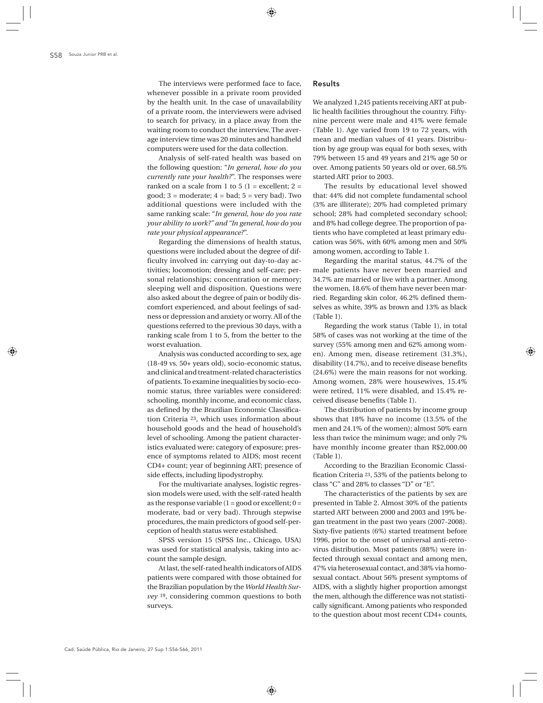The interviews were performed face to face, whenever possible in a private room provided by the health unit. In the case of unavailability of a private room, the interviewers were advised to search for privacy, in a place away from the waiting room to conduct the interview. The average interview time was 20 minutes and handheld computers were used for the data collection.

Analysis of self-rated health was based on the following question: "*In general, how do you currently rate your health?*". The responses were ranked on a scale from 1 to 5 ( $1 =$  excellent;  $2 =$ good;  $3 =$  moderate;  $4 =$  bad;  $5 =$  very bad). Two additional questions were included with the same ranking scale: "*In general, how do you rate your ability to work?" and "In general, how do you rate your physical appearance?*".

Regarding the dimensions of health status, questions were included about the degree of difficulty involved in: carrying out day-to-day activities; locomotion; dressing and self-care; personal relationships; concentration or memory; sleeping well and disposition. Questions were also asked about the degree of pain or bodily discomfort experienced, and about feelings of sadness or depression and anxiety or worry. All of the questions referred to the previous 30 days, with a ranking scale from 1 to 5, from the better to the worst evaluation.

Analysis was conducted according to sex, age (18-49 vs. 50+ years old), socio-economic status, and clinical and treatment-related characteristics of patients. To examine inequalities by socio-economic status, three variables were considered: schooling, monthly income, and economic class, as defined by the Brazilian Economic Classification Criteria 23, which uses information about household goods and the head of household's level of schooling. Among the patient characteristics evaluated were: category of exposure; presence of symptoms related to AIDS; most recent CD4+ count; year of beginning ART; presence of side effects, including lipodystrophy.

For the multivariate analyses, logistic regression models were used, with the self-rated health as the response variable  $(1 = good or excellent; 0 =$ moderate, bad or very bad). Through stepwise procedures, the main predictors of good self-perception of health status were established.

SPSS version 15 (SPSS Inc., Chicago, USA) was used for statistical analysis, taking into account the sample design.

At last, the self-rated health indicators of AIDS patients were compared with those obtained for the Brazilian population by the *World Health Survey* 19, considering common questions to both surveys.

# Results

We analyzed 1,245 patients receiving ART at public health facilities throughout the country. Fiftynine percent were male and 41% were female (Table 1). Age varied from 19 to 72 years, with mean and median values of 41 years. Distribution by age group was equal for both sexes, with 79% between 15 and 49 years and 21% age 50 or over. Among patients 50 years old or over, 68.5% started ART prior to 2003.

The results by educational level showed that: 44% did not complete fundamental school (3% are illiterate); 20% had completed primary school; 28% had completed secondary school; and 8% had college degree. The proportion of patients who have completed at least primary education was 56%, with 60% among men and 50% among women, according to Table 1.

Regarding the marital status, 44.7% of the male patients have never been married and 34.7% are married or live with a partner. Among the women, 18.6% of them have never been married. Regarding skin color, 46.2% defined themselves as white, 39% as brown and 13% as black (Table 1).

Regarding the work status (Table 1), in total 58% of cases was not working at the time of the survey (55% among men and 62% among women). Among men, disease retirement (31.3%), disability (14.7%), and to receive disease benefits (24.6%) were the main reasons for not working. Among women, 28% were housewives, 15.4% were retired, 11% were disabled, and 15.4% received disease benefits (Table 1).

The distribution of patients by income group shows that 18% have no income (13.5% of the men and 24.1% of the women); almost 50% earn less than twice the minimum wage; and only 7% have monthly income greater than R\$2,000.00 (Table 1).

According to the Brazilian Economic Classification Criteria 23, 53% of the patients belong to class "C" and 28% to classes "D" or "E".

The characteristics of the patients by sex are presented in Table 2. Almost 30% of the patients started ART between 2000 and 2003 and 19% began treatment in the past two years (2007-2008). Sixty-five patients (6%) started treatment before 1996, prior to the onset of universal anti-retrovirus distribution. Most patients (88%) were infected through sexual contact and among men, 47% via heterosexual contact, and 38% via homosexual contact. About 56% present symptoms of AIDS, with a slightly higher proportion amongst the men, although the difference was not statistically significant. Among patients who responded to the question about most recent CD4+ counts,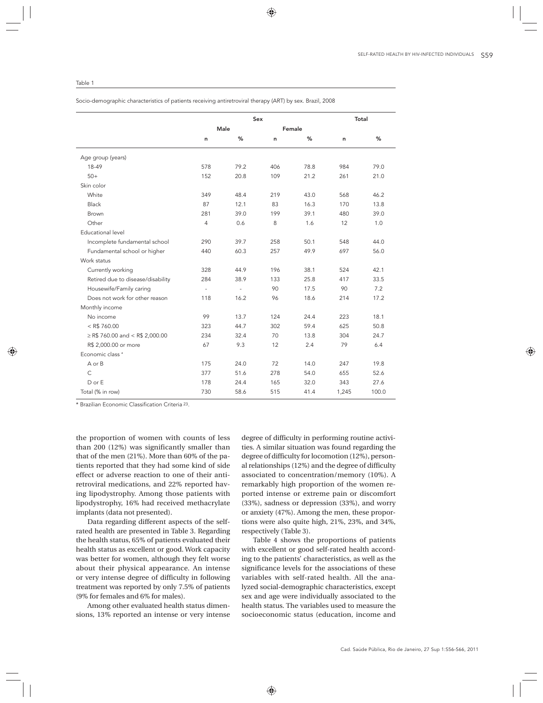|                                      |                          |      | Sex |        |       | Total |
|--------------------------------------|--------------------------|------|-----|--------|-------|-------|
|                                      |                          | Male |     | Female |       |       |
|                                      | n                        | %    | n   | %      | n     | %     |
| Age group (years)                    |                          |      |     |        |       |       |
| 18-49                                | 578                      | 79.2 | 406 | 78.8   | 984   | 79.0  |
| $50+$                                | 152                      | 20.8 | 109 | 21.2   | 261   | 21.0  |
| Skin color                           |                          |      |     |        |       |       |
| White                                | 349                      | 48.4 | 219 | 43.0   | 568   | 46.2  |
| Black                                | 87                       | 12.1 | 83  | 16.3   | 170   | 13.8  |
| Brown                                | 281                      | 39.0 | 199 | 39.1   | 480   | 39.0  |
| Other                                | 4                        | 0.6  | 8   | 1.6    | 12    | 1.0   |
| Educational level                    |                          |      |     |        |       |       |
| Incomplete fundamental school        | 290                      | 39.7 | 258 | 50.1   | 548   | 44.0  |
| Fundamental school or higher         | 440                      | 60.3 | 257 | 49.9   | 697   | 56.0  |
| Work status                          |                          |      |     |        |       |       |
| Currently working                    | 328                      | 44.9 | 196 | 38.1   | 524   | 42.1  |
| Retired due to disease/disability    | 284                      | 38.9 | 133 | 25.8   | 417   | 33.5  |
| Housewife/Family caring              | $\overline{\phantom{a}}$ | ÷,   | 90  | 17.5   | 90    | 7.2   |
| Does not work for other reason       | 118                      | 16.2 | 96  | 18.6   | 214   | 17.2  |
| Monthly income                       |                          |      |     |        |       |       |
| No income                            | 99                       | 13.7 | 124 | 24.4   | 223   | 18.1  |
| $<$ R\$ 760.00                       | 323                      | 44.7 | 302 | 59.4   | 625   | 50.8  |
| $\geq$ R\$ 760.00 and < R\$ 2,000.00 | 234                      | 32.4 | 70  | 13.8   | 304   | 24.7  |
| R\$ 2,000.00 or more                 | 67                       | 9.3  | 12  | 2.4    | 79    | 6.4   |
| Economic class *                     |                          |      |     |        |       |       |
| A or B                               | 175                      | 24.0 | 72  | 14.0   | 247   | 19.8  |
| $\mathsf{C}$                         | 377                      | 51.6 | 278 | 54.0   | 655   | 52.6  |
| D or E                               | 178                      | 24.4 | 165 | 32.0   | 343   | 27.6  |
| Total (% in row)                     | 730                      | 58.6 | 515 | 41.4   | 1,245 | 100.0 |

Socio-demographic characteristics of patients receiving antiretroviral therapy (ART) by sex. Brazil, 2008

\* Brazilian Economic Classification Criteria 23

the proportion of women with counts of less than 200 (12%) was significantly smaller than that of the men (21%). More than 60% of the patients reported that they had some kind of side effect or adverse reaction to one of their antiretroviral medications, and 22% reported having lipodystrophy. Among those patients with lipodystrophy, 16% had received methacrylate implants (data not presented).

Data regarding different aspects of the selfrated health are presented in Table 3. Regarding the health status, 65% of patients evaluated their health status as excellent or good. Work capacity was better for women, although they felt worse about their physical appearance. An intense or very intense degree of difficulty in following treatment was reported by only 7.5% of patients (9% for females and 6% for males).

Among other evaluated health status dimensions, 13% reported an intense or very intense

degree of difficulty in performing routine activities. A similar situation was found regarding the degree of difficulty for locomotion (12%), personal relationships (12%) and the degree of difficulty associated to concentration/memory (10%). A remarkably high proportion of the women reported intense or extreme pain or discomfort (33%), sadness or depression (33%), and worry or anxiety (47%). Among the men, these proportions were also quite high, 21%, 23%, and 34%, respectively (Table 3).

Table 4 shows the proportions of patients with excellent or good self-rated health according to the patients' characteristics, as well as the significance levels for the associations of these variables with self-rated health. All the analyzed social-demographic characteristics, except sex and age were individually associated to the health status. The variables used to measure the socioeconomic status (education, income and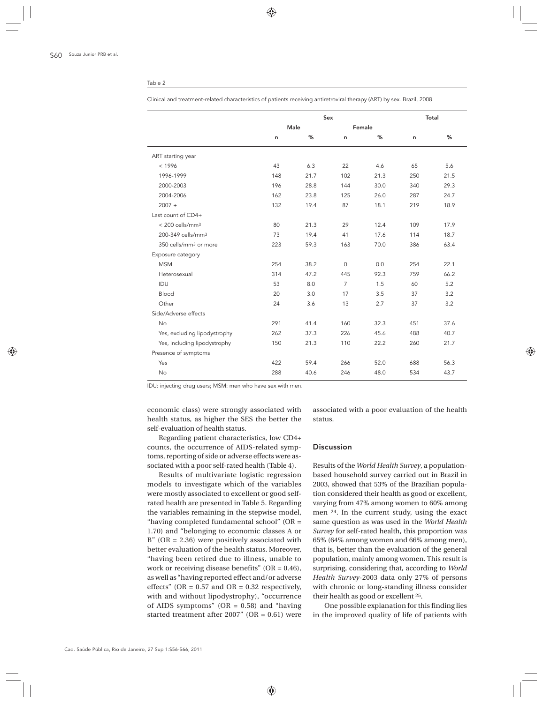#### Table 2

Clinical and treatment-related characteristics of patients receiving antiretroviral therapy (ART) by sex. Brazil, 2008

|                                   | Sex  |      |                |        | Total |      |
|-----------------------------------|------|------|----------------|--------|-------|------|
|                                   | Male |      |                | Female |       |      |
|                                   | n    | %    | n              | %      | n     | %    |
| ART starting year                 |      |      |                |        |       |      |
| < 1996                            | 43   | 6.3  | 22             | 4.6    | 65    | 5.6  |
| 1996-1999                         | 148  | 21.7 | 102            | 21.3   | 250   | 21.5 |
| 2000-2003                         | 196  | 28.8 | 144            | 30.0   | 340   | 29.3 |
| 2004-2006                         | 162  | 23.8 | 125            | 26.0   | 287   | 24.7 |
| $2007 +$                          | 132  | 19.4 | 87             | 18.1   | 219   | 18.9 |
| Last count of CD4+                |      |      |                |        |       |      |
| < 200 cells/mm <sup>3</sup>       | 80   | 21.3 | 29             | 12.4   | 109   | 17.9 |
| 200-349 cells/mm <sup>3</sup>     | 73   | 19.4 | 41             | 17.6   | 114   | 18.7 |
| 350 cells/mm <sup>3</sup> or more | 223  | 59.3 | 163            | 70.0   | 386   | 63.4 |
| Exposure category                 |      |      |                |        |       |      |
| <b>MSM</b>                        | 254  | 38.2 | $\circ$        | 0.0    | 254   | 22.1 |
| Heterosexual                      | 314  | 47.2 | 445            | 92.3   | 759   | 66.2 |
| IDU                               | 53   | 8.0  | $\overline{7}$ | 1.5    | 60    | 5.2  |
| Blood                             | 20   | 3.0  | 17             | 3.5    | 37    | 3.2  |
| Other                             | 24   | 3.6  | 13             | 2.7    | 37    | 3.2  |
| Side/Adverse effects              |      |      |                |        |       |      |
| No                                | 291  | 41.4 | 160            | 32.3   | 451   | 37.6 |
| Yes, excluding lipodystrophy      | 262  | 37.3 | 226            | 45.6   | 488   | 40.7 |
| Yes, including lipodystrophy      | 150  | 21.3 | 110            | 22.2   | 260   | 21.7 |
| Presence of symptoms              |      |      |                |        |       |      |
| Yes                               | 422  | 59.4 | 266            | 52.0   | 688   | 56.3 |
| <b>No</b>                         | 288  | 40.6 | 246            | 48.0   | 534   | 43.7 |

IDU: injecting drug users; MSM: men who have sex with men.

economic class) were strongly associated with health status, as higher the SES the better the self-evaluation of health status.

Regarding patient characteristics, low CD4+ counts, the occurrence of AIDS-related symptoms, reporting of side or adverse effects were associated with a poor self-rated health (Table 4).

Results of multivariate logistic regression models to investigate which of the variables were mostly associated to excellent or good selfrated health are presented in Table 5. Regarding the variables remaining in the stepwise model, "having completed fundamental school" (OR = 1.70) and "belonging to economic classes A or B" (OR = 2.36) were positively associated with better evaluation of the health status. Moreover, "having been retired due to illness, unable to work or receiving disease benefits"  $(OR = 0.46)$ , as well as "having reported effect and/or adverse effects" (OR =  $0.57$  and OR =  $0.32$  respectively, with and without lipodystrophy), "occurrence of AIDS symptoms" ( $OR = 0.58$ ) and "having started treatment after 2007" (OR =  $0.61$ ) were

associated with a poor evaluation of the health status.

# Discussion

Results of the *World Health Survey*, a populationbased household survey carried out in Brazil in 2003, showed that 53% of the Brazilian population considered their health as good or excellent, varying from 47% among women to 60% among men 24. In the current study, using the exact same question as was used in the *World Health Survey* for self-rated health, this proportion was 65% (64% among women and 66% among men), that is, better than the evaluation of the general population, mainly among women. This result is surprising, considering that, according to *World Health Survey*-2003 data only 27% of persons with chronic or long-standing illness consider their health as good or excellent 25.

One possible explanation for this finding lies in the improved quality of life of patients with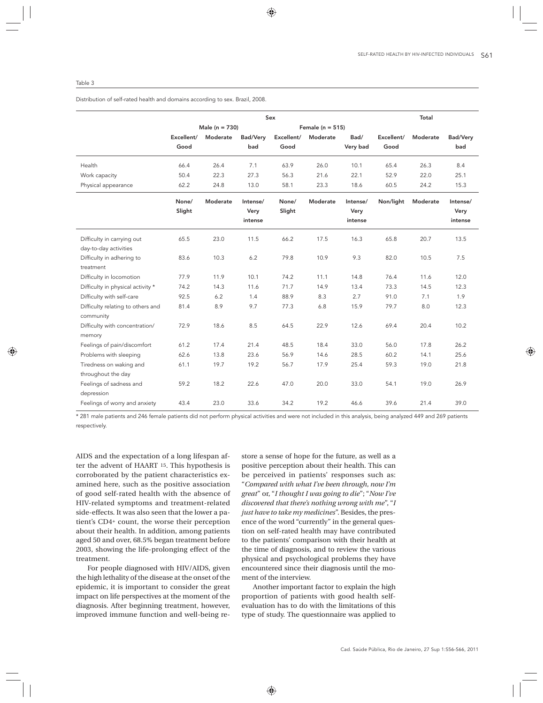Distribution of self-rated health and domains according to sex. Brazil, 2008.

|                                                     | Sex                                        |          |                             |                 |          | Total                       |            |          |                             |
|-----------------------------------------------------|--------------------------------------------|----------|-----------------------------|-----------------|----------|-----------------------------|------------|----------|-----------------------------|
|                                                     | Male ( $n = 730$ )<br>Female ( $n = 515$ ) |          |                             |                 |          |                             |            |          |                             |
|                                                     | Excellent/                                 | Moderate | Bad/Very                    | Excellent/      | Moderate | Bad/                        | Excellent/ | Moderate | Bad/Very                    |
|                                                     | Good                                       |          | bad                         | Good            |          | Very bad                    | Good       |          | bad                         |
| Health                                              | 66.4                                       | 26.4     | 7.1                         | 63.9            | 26.0     | 10.1                        | 65.4       | 26.3     | 8.4                         |
| Work capacity                                       | 50.4                                       | 22.3     | 27.3                        | 56.3            | 21.6     | 22.1                        | 52.9       | 22.0     | 25.1                        |
| Physical appearance                                 | 62.2                                       | 24.8     | 13.0                        | 58.1            | 23.3     | 18.6                        | 60.5       | 24.2     | 15.3                        |
|                                                     | None/<br>Slight                            | Moderate | Intense/<br>Very<br>intense | None/<br>Slight | Moderate | Intense/<br>Very<br>intense | Non/light  | Moderate | Intense/<br>Very<br>intense |
| Difficulty in carrying out<br>day-to-day activities | 65.5                                       | 23.0     | 11.5                        | 66.2            | 17.5     | 16.3                        | 65.8       | 20.7     | 13.5                        |
| Difficulty in adhering to<br>treatment              | 83.6                                       | 10.3     | 6.2                         | 79.8            | 10.9     | 9.3                         | 82.0       | 10.5     | 7.5                         |
| Difficulty in locomotion                            | 77.9                                       | 11.9     | 10.1                        | 74.2            | 11.1     | 14.8                        | 76.4       | 11.6     | 12.0                        |
| Difficulty in physical activity *                   | 74.2                                       | 14.3     | 11.6                        | 71.7            | 14.9     | 13.4                        | 73.3       | 14.5     | 12.3                        |
| Difficulty with self-care                           | 92.5                                       | 6.2      | 1.4                         | 88.9            | 8.3      | 2.7                         | 91.0       | 7.1      | 1.9                         |
| Difficulty relating to others and<br>community      | 81.4                                       | 8.9      | 9.7                         | 77.3            | 6.8      | 15.9                        | 79.7       | 8.0      | 12.3                        |
| Difficulty with concentration/<br>memory            | 72.9                                       | 18.6     | 8.5                         | 64.5            | 22.9     | 12.6                        | 69.4       | 20.4     | 10.2                        |
| Feelings of pain/discomfort                         | 61.2                                       | 17.4     | 21.4                        | 48.5            | 18.4     | 33.0                        | 56.0       | 17.8     | 26.2                        |
| Problems with sleeping                              | 62.6                                       | 13.8     | 23.6                        | 56.9            | 14.6     | 28.5                        | 60.2       | 14.1     | 25.6                        |
| Tiredness on waking and                             | 61.1                                       | 19.7     | 19.2                        | 56.7            | 17.9     | 25.4                        | 59.3       | 19.0     | 21.8                        |
| throughout the day                                  |                                            |          |                             |                 |          |                             |            |          |                             |
| Feelings of sadness and                             | 59.2                                       | 18.2     | 22.6                        | 47.0            | 20.0     | 33.0                        | 54.1       | 19.0     | 26.9                        |
| depression<br>Feelings of worry and anxiety         | 43.4                                       | 23.0     | 33.6                        | 34.2            | 19.2     | 46.6                        | 39.6       | 21.4     | 39.0                        |

\* 281 male patients and 246 female patients did not perform physical activities and were not included in this analysis, being analyzed 449 and 269 patients respectively.

AIDS and the expectation of a long lifespan after the advent of HAART 15. This hypothesis is corroborated by the patient characteristics examined here, such as the positive association of good self-rated health with the absence of HIV-related symptoms and treatment-related side-effects. It was also seen that the lower a patient's CD4+ count, the worse their perception about their health. In addition, among patients aged 50 and over, 68.5% began treatment before 2003, showing the life-prolonging effect of the treatment.

For people diagnosed with HIV/AIDS, given the high lethality of the disease at the onset of the epidemic, it is important to consider the great impact on life perspectives at the moment of the diagnosis. After beginning treatment, however, improved immune function and well-being re-

store a sense of hope for the future, as well as a positive perception about their health. This can be perceived in patients' responses such as: "*Compared with what I've been through, now I'm great*" or, "*I thought I was going to die*"; "*Now I've discovered that there's nothing wrong with me*", "*I just have to take my medicines*". Besides, the presence of the word "currently" in the general question on self-rated health may have contributed to the patients' comparison with their health at the time of diagnosis, and to review the various physical and psychological problems they have encountered since their diagnosis until the moment of the interview.

Another important factor to explain the high proportion of patients with good health selfevaluation has to do with the limitations of this type of study. The questionnaire was applied to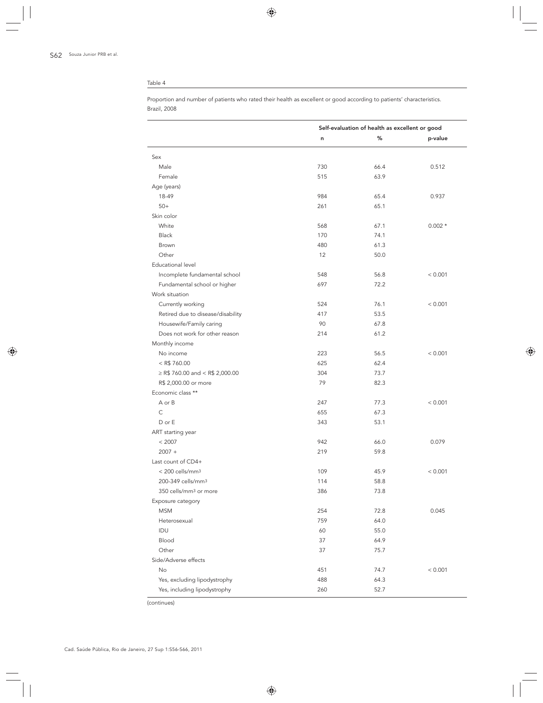#### Table 4

Proportion and number of patients who rated their health as excellent or good according to patients' characteristics. Brazil, 2008

|                                     | Self-evaluation of health as excellent or good |      |          |
|-------------------------------------|------------------------------------------------|------|----------|
|                                     | n                                              | %    | p-value  |
| Sex                                 |                                                |      |          |
| Male                                | 730                                            | 66.4 | 0.512    |
| Female                              | 515                                            | 63.9 |          |
| Age (years)                         |                                                |      |          |
| 18-49                               | 984                                            | 65.4 | 0.937    |
| $50+$                               | 261                                            | 65.1 |          |
| Skin color                          |                                                |      |          |
| White                               | 568                                            | 67.1 | $0.002*$ |
| <b>Black</b>                        | 170                                            | 74.1 |          |
| <b>Brown</b>                        | 480                                            | 61.3 |          |
| Other                               | 12                                             | 50.0 |          |
| Educational level                   |                                                |      |          |
| Incomplete fundamental school       | 548                                            | 56.8 | < 0.001  |
| Fundamental school or higher        | 697                                            | 72.2 |          |
| Work situation                      |                                                |      |          |
| Currently working                   | 524                                            | 76.1 | < 0.001  |
| Retired due to disease/disability   | 417                                            | 53.5 |          |
| Housewife/Family caring             | 90                                             | 67.8 |          |
| Does not work for other reason      | 214                                            | 61.2 |          |
| Monthly income                      |                                                |      |          |
| No income                           | 223                                            | 56.5 | < 0.001  |
| $<$ R\$ 760.00                      | 625                                            | 62.4 |          |
| $\ge$ R\$ 760.00 and < R\$ 2,000.00 | 304                                            | 73.7 |          |
| R\$ 2,000.00 or more                | 79                                             | 82.3 |          |
| Economic class **                   |                                                |      |          |
| A or B                              | 247                                            | 77.3 | < 0.001  |
| C                                   | 655                                            | 67.3 |          |
| D or E                              | 343                                            | 53.1 |          |
| ART starting year                   |                                                |      |          |
| < 2007                              | 942                                            | 66.0 | 0.079    |
| $2007 +$                            | 219                                            | 59.8 |          |
| Last count of CD4+                  |                                                |      |          |
| < 200 cells/mm <sup>3</sup>         | 109                                            | 45.9 | < 0.001  |
| 200-349 cells/mm <sup>3</sup>       | 114                                            | 58.8 |          |
| 350 cells/mm <sup>3</sup> or more   | 386                                            | 73.8 |          |
| Exposure category                   |                                                |      |          |
| <b>MSM</b>                          | 254                                            | 72.8 | 0.045    |
| Heterosexual                        | 759                                            | 64.0 |          |
| IDU                                 | 60                                             | 55.0 |          |
| Blood                               | 37                                             | 64.9 |          |
| Other                               | 37                                             | 75.7 |          |
| Side/Adverse effects                |                                                |      |          |
| No                                  | 451                                            | 74.7 | < 0.001  |
| Yes, excluding lipodystrophy        | 488                                            | 64.3 |          |
| Yes, including lipodystrophy        | 260                                            | 52.7 |          |

(continues)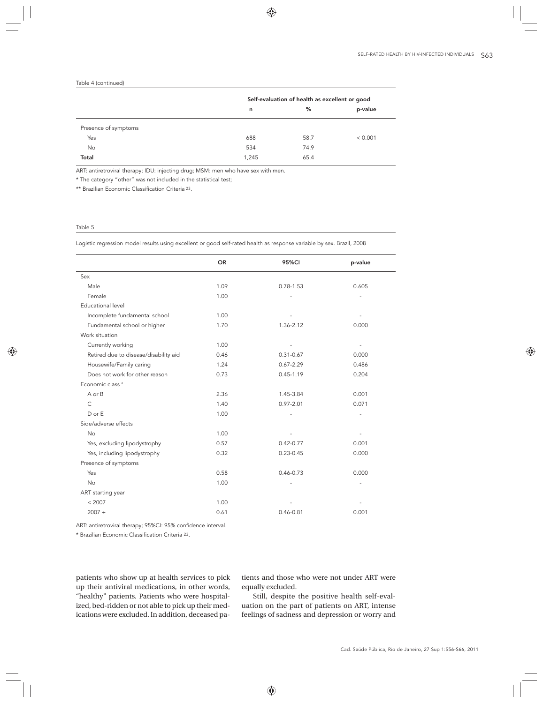#### Table 4 (continued)

|                      | Self-evaluation of health as excellent or good |      |         |  |
|----------------------|------------------------------------------------|------|---------|--|
|                      | n                                              | %    | p-value |  |
| Presence of symptoms |                                                |      |         |  |
| Yes                  | 688                                            | 58.7 | < 0.001 |  |
| <b>No</b>            | 534                                            | 74.9 |         |  |
| Total                | 1,245                                          | 65.4 |         |  |

ART: antiretroviral therapy; IDU: injecting drug; MSM: men who have sex with men.

\* The category "other" was not included in the statistical test;

\*\* Brazilian Economic Classification Criteria<sup>23</sup>.

#### Table 5

Logistic regression model results using excellent or good self-rated health as response variable by sex. Brazil, 2008

|                                       | <b>OR</b> | <b>95%CI</b>  | p-value                  |
|---------------------------------------|-----------|---------------|--------------------------|
| Sex                                   |           |               |                          |
| Male                                  | 1.09      | $0.78 - 1.53$ | 0.605                    |
| Female                                | 1.00      |               |                          |
| <b>Educational level</b>              |           |               |                          |
| Incomplete fundamental school         | 1.00      |               |                          |
| Fundamental school or higher          | 1.70      | 1.36-2.12     | 0.000                    |
| Work situation                        |           |               |                          |
| Currently working                     | 1.00      |               |                          |
| Retired due to disease/disability aid | 0.46      | $0.31 - 0.67$ | 0.000                    |
| Housewife/Family caring               | 1.24      | $0.67 - 2.29$ | 0.486                    |
| Does not work for other reason        | 0.73      | $0.45 - 1.19$ | 0.204                    |
| Economic class *                      |           |               |                          |
| A or B                                | 2.36      | 1.45-3.84     | 0.001                    |
| $\mathsf{C}$                          | 1.40      | $0.97 - 2.01$ | 0.071                    |
| $D$ or $E$                            | 1.00      |               | $\overline{\phantom{a}}$ |
| Side/adverse effects                  |           |               |                          |
| <b>No</b>                             | 1.00      |               |                          |
| Yes, excluding lipodystrophy          | 0.57      | $0.42 - 0.77$ | 0.001                    |
| Yes, including lipodystrophy          | 0.32      | $0.23 - 0.45$ | 0.000                    |
| Presence of symptoms                  |           |               |                          |
| Yes                                   | 0.58      | $0.46 - 0.73$ | 0.000                    |
| <b>No</b>                             | 1.00      |               |                          |
| ART starting year                     |           |               |                          |
| < 2007                                | 1.00      |               |                          |
| $2007 +$                              | 0.61      | $0.46 - 0.81$ | 0.001                    |

ART: antiretroviral therapy; 95%CI: 95% confidence interval.

\* Brazilian Economic Classification Criteria 23.

patients who show up at health services to pick up their antiviral medications, in other words, "healthy" patients. Patients who were hospitalized, bed-ridden or not able to pick up their medications were excluded. In addition, deceased patients and those who were not under ART were equally excluded.

Still, despite the positive health self-evaluation on the part of patients on ART, intense feelings of sadness and depression or worry and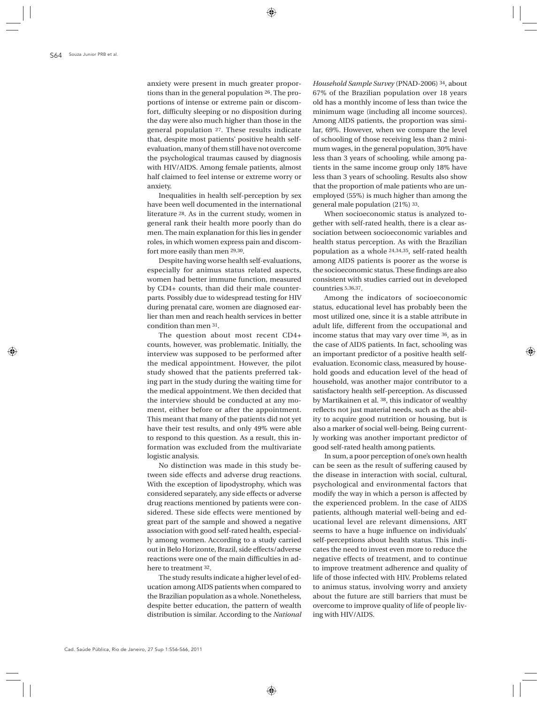anxiety were present in much greater proportions than in the general population 26. The proportions of intense or extreme pain or discomfort, difficulty sleeping or no disposition during the day were also much higher than those in the general population 27. These results indicate that, despite most patients' positive health selfevaluation, many of them still have not overcome the psychological traumas caused by diagnosis with HIV/AIDS. Among female patients, almost half claimed to feel intense or extreme worry or anxiety.

Inequalities in health self-perception by sex have been well documented in the international literature 28. As in the current study, women in general rank their health more poorly than do men. The main explanation for this lies in gender roles, in which women express pain and discomfort more easily than men 29,30.

Despite having worse health self-evaluations, especially for animus status related aspects, women had better immune function, measured by CD4+ counts, than did their male counterparts. Possibly due to widespread testing for HIV during prenatal care, women are diagnosed earlier than men and reach health services in better condition than men 31.

The question about most recent CD4+ counts, however, was problematic. Initially, the interview was supposed to be performed after the medical appointment. However, the pilot study showed that the patients preferred taking part in the study during the waiting time for the medical appointment. We then decided that the interview should be conducted at any moment, either before or after the appointment. This meant that many of the patients did not yet have their test results, and only 49% were able to respond to this question. As a result, this information was excluded from the multivariate logistic analysis.

No distinction was made in this study between side effects and adverse drug reactions. With the exception of lipodystrophy, which was considered separately, any side effects or adverse drug reactions mentioned by patients were considered. These side effects were mentioned by great part of the sample and showed a negative association with good self-rated health, especially among women. According to a study carried out in Belo Horizonte, Brazil, side effects/adverse reactions were one of the main difficulties in adhere to treatment 32.

The study results indicate a higher level of education among AIDS patients when compared to the Brazilian population as a whole. Nonetheless, despite better education, the pattern of wealth distribution is similar. According to the *National*  *Household Sample Survey* (PNAD-2006) 34, about 67% of the Brazilian population over 18 years old has a monthly income of less than twice the minimum wage (including all income sources). Among AIDS patients, the proportion was similar, 69%. However, when we compare the level of schooling of those receiving less than 2 minimum wages, in the general population, 30% have less than 3 years of schooling, while among patients in the same income group only 18% have less than 3 years of schooling. Results also show that the proportion of male patients who are unemployed (55%) is much higher than among the general male population (21%) 33.

When socioeconomic status is analyzed together with self-rated health, there is a clear association between socioeconomic variables and health status perception. As with the Brazilian population as a whole 24,34,35, self-rated health among AIDS patients is poorer as the worse is the socioeconomic status. These findings are also consistent with studies carried out in developed countries 5,36,37.

Among the indicators of socioeconomic status, educational level has probably been the most utilized one, since it is a stable attribute in adult life, different from the occupational and income status that may vary over time 36, as in the case of AIDS patients. In fact, schooling was an important predictor of a positive health selfevaluation. Economic class, measured by household goods and education level of the head of household, was another major contributor to a satisfactory health self-perception. As discussed by Martikainen et al. 38, this indicator of wealthy reflects not just material needs, such as the ability to acquire good nutrition or housing, but is also a marker of social well-being. Being currently working was another important predictor of good self-rated health among patients.

In sum, a poor perception of one's own health can be seen as the result of suffering caused by the disease in interaction with social, cultural, psychological and environmental factors that modify the way in which a person is affected by the experienced problem. In the case of AIDS patients, although material well-being and educational level are relevant dimensions, ART seems to have a huge influence on individuals' self-perceptions about health status. This indicates the need to invest even more to reduce the negative effects of treatment, and to continue to improve treatment adherence and quality of life of those infected with HIV. Problems related to animus status, involving worry and anxiety about the future are still barriers that must be overcome to improve quality of life of people living with HIV/AIDS.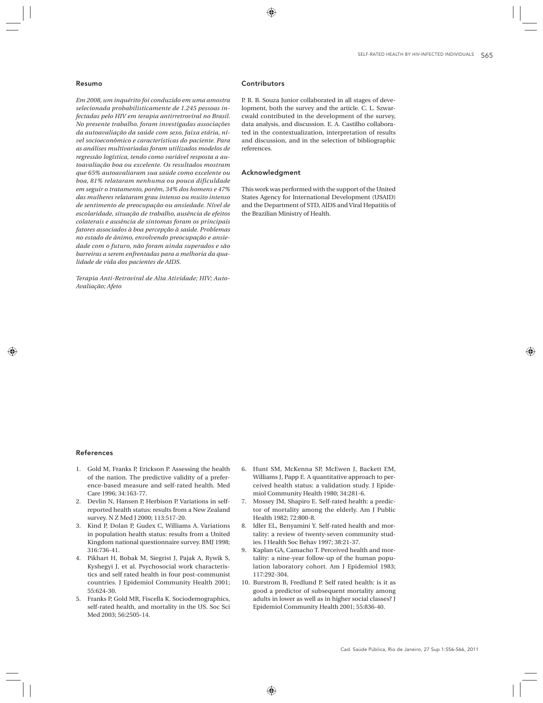### Resumo

*Em 2008, um inquérito foi conduzido em uma amostra selecionada probabilisticamente de 1.245 pessoas infectadas pelo HIV em terapia antirretroviral no Brasil. No presente trabalho, foram investigadas associações da autoavaliação da saúde com sexo, faixa etária, nível socioeconômico e características do paciente. Para as análises multivariadas foram utilizados modelos de regressão logística, tendo como variável resposta a autoavaliação boa ou excelente. Os resultados mostram que 65% autoavaliaram sua saúde como excelente ou boa, 81% relataram nenhuma ou pouca dificuldade em seguir o tratamento, porém, 34% dos homens e 47% das mulheres relataram grau intenso ou muito intenso de sentimento de preocupação ou ansiedade. Nível de escolaridade, situação de trabalho, ausência de efeitos colaterais e ausência de sintomas foram os principais fatores associados à boa percepção à saúde. Problemas no estado de ânimo, envolvendo preocupação e ansiedade com o futuro, não foram ainda superados e são barreiras a serem enfrentadas para a melhoria da qualidade de vida dos pacientes de AIDS.*

*Terapia Anti-Retroviral de Alta Atividade; HIV; Auto-Avaliação; Afeto*

#### Contributors

P. R. B. Souza Junior collaborated in all stages of development, both the survey and the article. C. L. Szwarcwald contributed in the development of the survey, data analysis, and discussion. E. A. Castilho collaborated in the contextualization, interpretation of results and discussion, and in the selection of bibliographic references.

#### Acknowledgment

This work was performed with the support of the United States Agency for International Development (USAID) and the Department of STD, AIDS and Viral Hepatitis of the Brazilian Ministry of Health.

#### References

- 1. Gold M, Franks P, Erickson P. Assessing the health of the nation. The predictive validity of a preference-based measure and self-rated health. Med Care 1996; 34:163-77.
- 2. Devlin N, Hansen P, Herbison P. Variations in selfreported health status: results from a New Zealand survey. N Z Med J 2000; 113:517-20.
- 3. Kind P, Dolan P, Gudex C, Williams A. Variations in population health status: results from a United Kingdom national questionnaire survey. BMJ 1998; 316:736-41.
- 4. Pikhart H, Bobak M, Siegrist J, Pajak A, Rywik S, Kyshegyi J, et al. Psychosocial work characteristics and self rated health in four post-communist countries. J Epidemiol Community Health 2001; 55:624-30.
- 5. Franks P, Gold MR, Fiscella K. Sociodemographics, self-rated health, and mortality in the US. Soc Sci Med 2003; 56:2505-14.
- 6. Hunt SM, McKenna SP, McEwen J, Backett EM, Williams J, Papp E. A quantitative approach to perceived health status: a validation study. J Epidemiol Community Health 1980; 34:281-6.
- 7. Mossey JM, Shapiro E. Self-rated health: a predictor of mortality among the elderly. Am J Public Health 1982; 72:800-8.
- 8. Idler EL, Benyamini Y. Self-rated health and mortality: a review of twenty-seven community studies. J Health Soc Behav 1997; 38:21-37.
- 9. Kaplan GA, Camacho T. Perceived health and mortality: a nine-year follow-up of the human population laboratory cohort. Am J Epidemiol 1983; 117:292-304.
- 10. Burstrom B, Fredlund P. Self rated health: is it as good a predictor of subsequent mortality among adults in lower as well as in higher social classes? J Epidemiol Community Health 2001; 55:836-40.